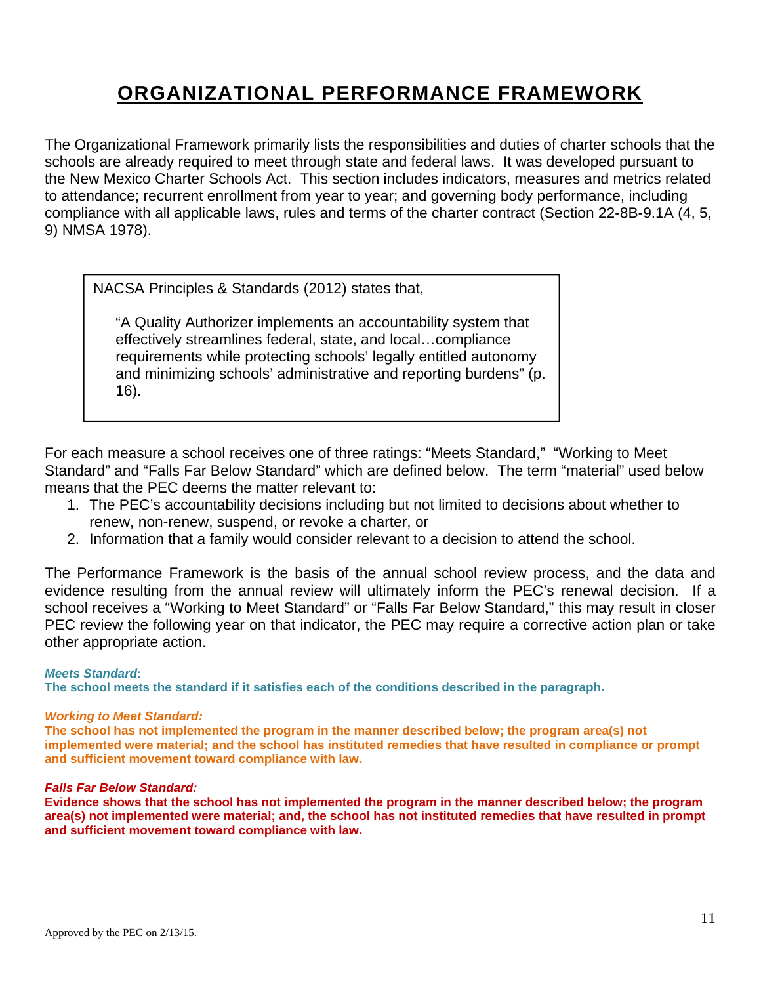# **ORGANIZATIONAL PERFORMANCE FRAMEWORK**

The Organizational Framework primarily lists the responsibilities and duties of charter schools that the schools are already required to meet through state and federal laws. It was developed pursuant to the New Mexico Charter Schools Act. This section includes indicators, measures and metrics related to attendance; recurrent enrollment from year to year; and governing body performance, including compliance with all applicable laws, rules and terms of the charter contract (Section 22-8B-9.1A (4, 5, 9) NMSA 1978).

NACSA Principles & Standards (2012) states that,

"A Quality Authorizer implements an accountability system that effectively streamlines federal, state, and local…compliance requirements while protecting schools' legally entitled autonomy and minimizing schools' administrative and reporting burdens" (p. 16).

For each measure a school receives one of three ratings: "Meets Standard," "Working to Meet Standard" and "Falls Far Below Standard" which are defined below. The term "material" used below means that the PEC deems the matter relevant to:

- 1. The PEC's accountability decisions including but not limited to decisions about whether to renew, non-renew, suspend, or revoke a charter, or
- 2. Information that a family would consider relevant to a decision to attend the school.

The Performance Framework is the basis of the annual school review process, and the data and evidence resulting from the annual review will ultimately inform the PEC's renewal decision. If a school receives a "Working to Meet Standard" or "Falls Far Below Standard," this may result in closer PEC review the following year on that indicator, the PEC may require a corrective action plan or take other appropriate action.

## *Meets Standard***:**

**The school meets the standard if it satisfies each of the conditions described in the paragraph.** 

## *Working to Meet Standard:*

**The school has not implemented the program in the manner described below; the program area(s) not implemented were material; and the school has instituted remedies that have resulted in compliance or prompt and sufficient movement toward compliance with law.** 

#### *Falls Far Below Standard:*

**Evidence shows that the school has not implemented the program in the manner described below; the program area(s) not implemented were material; and, the school has not instituted remedies that have resulted in prompt and sufficient movement toward compliance with law.**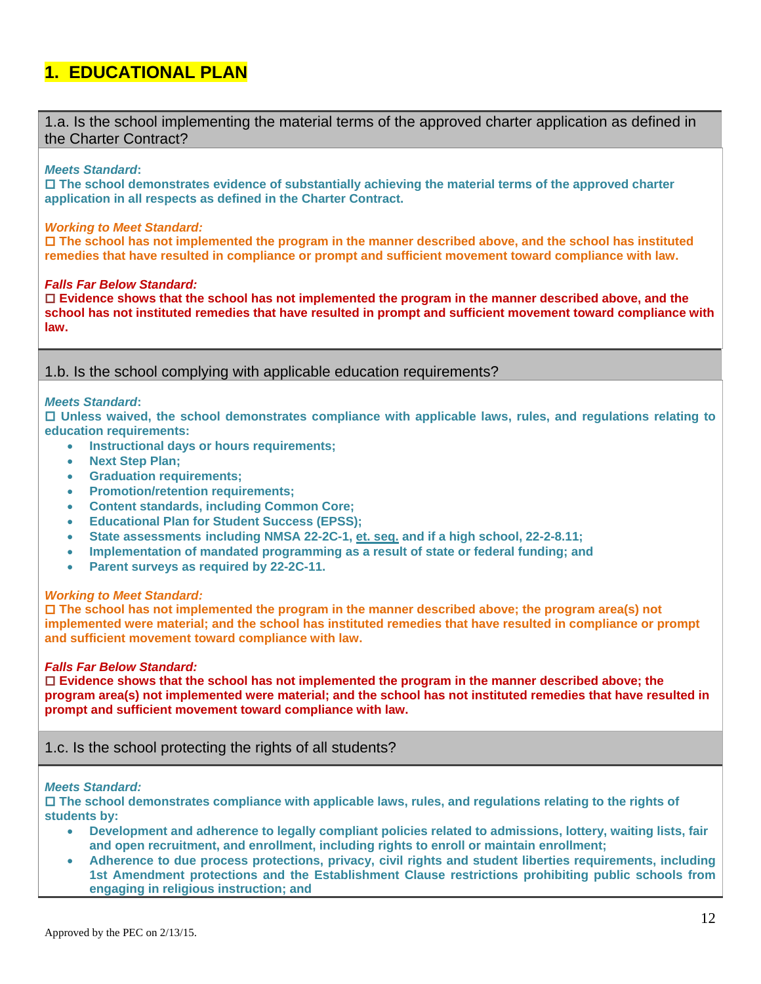## **1. EDUCATIONAL PLAN**

1.a. Is the school implementing the material terms of the approved charter application as defined in the Charter Contract?

#### *Meets Standard***:**

 **The school demonstrates evidence of substantially achieving the material terms of the approved charter application in all respects as defined in the Charter Contract.** 

#### *Working to Meet Standard:*

 **The school has not implemented the program in the manner described above, and the school has instituted remedies that have resulted in compliance or prompt and sufficient movement toward compliance with law.** 

#### *Falls Far Below Standard:*

 **Evidence shows that the school has not implemented the program in the manner described above, and the school has not instituted remedies that have resulted in prompt and sufficient movement toward compliance with law.** 

1.b. Is the school complying with applicable education requirements?

#### *Meets Standard***:**

 **Unless waived, the school demonstrates compliance with applicable laws, rules, and regulations relating to education requirements:** 

- **Instructional days or hours requirements;**
- **Next Step Plan;**
- **Graduation requirements;**
- **Promotion/retention requirements;**
- **Content standards, including Common Core;**
- **Educational Plan for Student Success (EPSS);**
- **State assessments including NMSA 22-2C-1, et. seq. and if a high school, 22-2-8.11;**
- **Implementation of mandated programming as a result of state or federal funding; and**
- **Parent surveys as required by 22-2C-11.**

#### *Working to Meet Standard:*

 **The school has not implemented the program in the manner described above; the program area(s) not implemented were material; and the school has instituted remedies that have resulted in compliance or prompt and sufficient movement toward compliance with law.** 

#### *Falls Far Below Standard:*

 **Evidence shows that the school has not implemented the program in the manner described above; the program area(s) not implemented were material; and the school has not instituted remedies that have resulted in prompt and sufficient movement toward compliance with law.** 

## 1.c. Is the school protecting the rights of all students?

#### *Meets Standard:*

 **The school demonstrates compliance with applicable laws, rules, and regulations relating to the rights of students by:** 

- **Development and adherence to legally compliant policies related to admissions, lottery, waiting lists, fair and open recruitment, and enrollment, including rights to enroll or maintain enrollment;**
- **Adherence to due process protections, privacy, civil rights and student liberties requirements, including 1st Amendment protections and the Establishment Clause restrictions prohibiting public schools from engaging in religious instruction; and**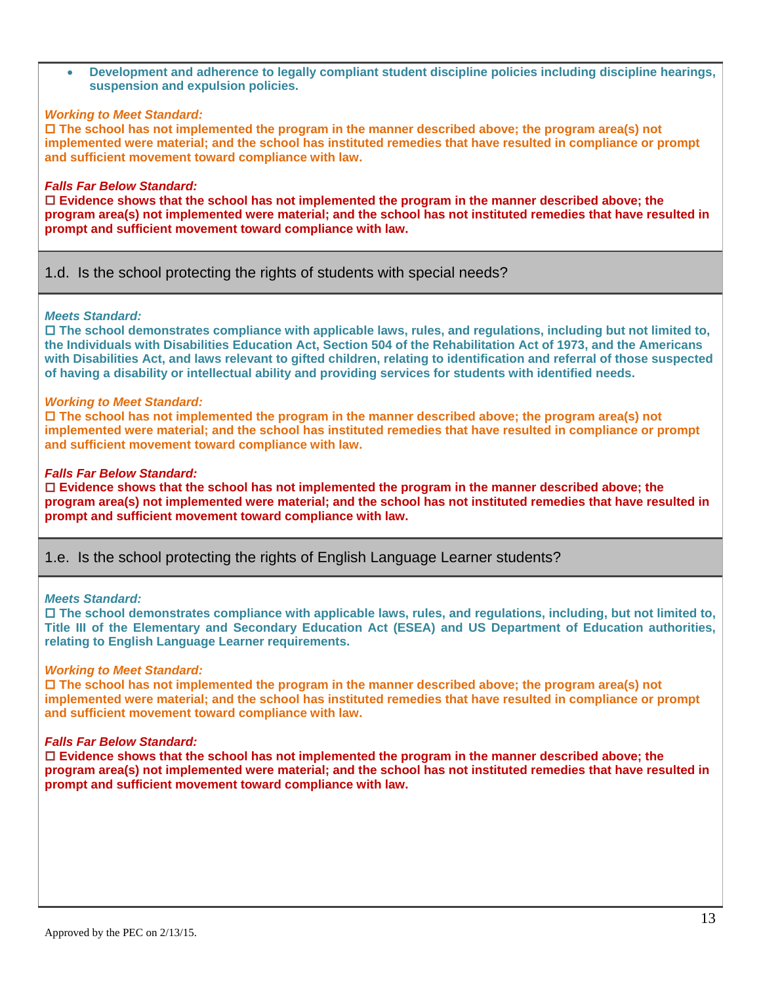**Development and adherence to legally compliant student discipline policies including discipline hearings, suspension and expulsion policies.** 

#### *Working to Meet Standard:*

 **The school has not implemented the program in the manner described above; the program area(s) not implemented were material; and the school has instituted remedies that have resulted in compliance or prompt and sufficient movement toward compliance with law.** 

#### *Falls Far Below Standard:*

 **Evidence shows that the school has not implemented the program in the manner described above; the program area(s) not implemented were material; and the school has not instituted remedies that have resulted in prompt and sufficient movement toward compliance with law.** 

## 1.d. Is the school protecting the rights of students with special needs?

#### *Meets Standard:*

 **The school demonstrates compliance with applicable laws, rules, and regulations, including but not limited to, the Individuals with Disabilities Education Act, Section 504 of the Rehabilitation Act of 1973, and the Americans with Disabilities Act, and laws relevant to gifted children, relating to identification and referral of those suspected of having a disability or intellectual ability and providing services for students with identified needs.** 

#### *Working to Meet Standard:*

 **The school has not implemented the program in the manner described above; the program area(s) not implemented were material; and the school has instituted remedies that have resulted in compliance or prompt and sufficient movement toward compliance with law.** 

#### *Falls Far Below Standard:*

 **Evidence shows that the school has not implemented the program in the manner described above; the program area(s) not implemented were material; and the school has not instituted remedies that have resulted in prompt and sufficient movement toward compliance with law.** 

1.e. Is the school protecting the rights of English Language Learner students?

#### *Meets Standard:*

 **The school demonstrates compliance with applicable laws, rules, and regulations, including, but not limited to, Title III of the Elementary and Secondary Education Act (ESEA) and US Department of Education authorities, relating to English Language Learner requirements.** 

#### *Working to Meet Standard:*

 **The school has not implemented the program in the manner described above; the program area(s) not implemented were material; and the school has instituted remedies that have resulted in compliance or prompt and sufficient movement toward compliance with law.** 

#### *Falls Far Below Standard:*

 **Evidence shows that the school has not implemented the program in the manner described above; the program area(s) not implemented were material; and the school has not instituted remedies that have resulted in prompt and sufficient movement toward compliance with law.**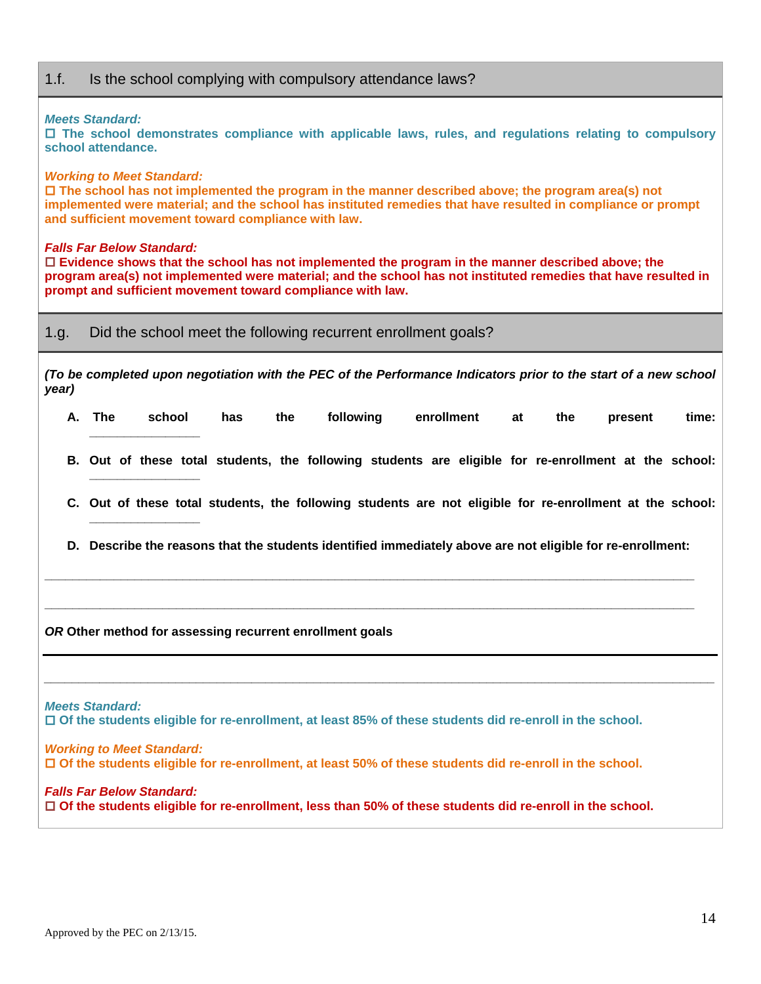## 1.f. Is the school complying with compulsory attendance laws?

#### *Meets Standard:*

 **The school demonstrates compliance with applicable laws, rules, and regulations relating to compulsory school attendance.**

#### *Working to Meet Standard:*

 **The school has not implemented the program in the manner described above; the program area(s) not implemented were material; and the school has instituted remedies that have resulted in compliance or prompt and sufficient movement toward compliance with law.** 

#### *Falls Far Below Standard:*

**\_\_\_\_\_\_\_\_\_\_\_\_\_\_\_\_** 

**\_\_\_\_\_\_\_\_\_\_\_\_\_\_\_\_** 

 **Evidence shows that the school has not implemented the program in the manner described above; the program area(s) not implemented were material; and the school has not instituted remedies that have resulted in prompt and sufficient movement toward compliance with law.** 

1.g. Did the school meet the following recurrent enrollment goals?

*(To be completed upon negotiation with the PEC of the Performance Indicators prior to the start of a new school year)* 

- **A. The school has the following enrollment at the present time: \_\_\_\_\_\_\_\_\_\_\_\_\_\_\_\_**
- **B. Out of these total students, the following students are eligible for re-enrollment at the school:**
- **C. Out of these total students, the following students are not eligible for re-enrollment at the school:**
- **D. Describe the reasons that the students identified immediately above are not eligible for re-enrollment:**

**\_\_\_\_\_\_\_\_\_\_\_\_\_\_\_\_\_\_\_\_\_\_\_\_\_\_\_\_\_\_\_\_\_\_\_\_\_\_\_\_\_\_\_\_\_\_\_\_\_\_\_\_\_\_\_\_\_\_\_\_\_\_\_\_\_\_\_\_\_\_\_\_\_\_\_\_\_\_\_\_\_\_\_\_\_\_\_\_\_\_\_\_\_\_** 

**\_\_\_\_\_\_\_\_\_\_\_\_\_\_\_\_\_\_\_\_\_\_\_\_\_\_\_\_\_\_\_\_\_\_\_\_\_\_\_\_\_\_\_\_\_\_\_\_\_\_\_\_\_\_\_\_\_\_\_\_\_\_\_\_\_\_\_\_\_\_\_\_\_\_\_\_\_\_\_\_\_\_\_\_\_\_\_\_\_\_\_\_\_\_** 

*\_\_\_\_\_\_\_\_\_\_\_\_\_\_\_\_\_\_\_\_\_\_\_\_\_\_\_\_\_\_\_\_\_\_\_\_\_\_\_\_\_\_\_\_\_\_\_\_\_\_\_\_\_\_\_\_\_\_\_\_\_\_\_\_\_\_\_\_\_\_\_\_\_\_\_\_\_\_\_\_\_\_\_\_\_\_\_\_\_\_\_\_\_\_\_\_\_*

*OR* **Other method for assessing recurrent enrollment goals**

*Meets Standard:* 

 **Of the students eligible for re-enrollment, at least 85% of these students did re-enroll in the school.** 

*Working to Meet Standard:* **Of the students eligible for re-enrollment, at least 50% of these students did re-enroll in the school.** 

*Falls Far Below Standard:* **Of the students eligible for re-enrollment, less than 50% of these students did re-enroll in the school.**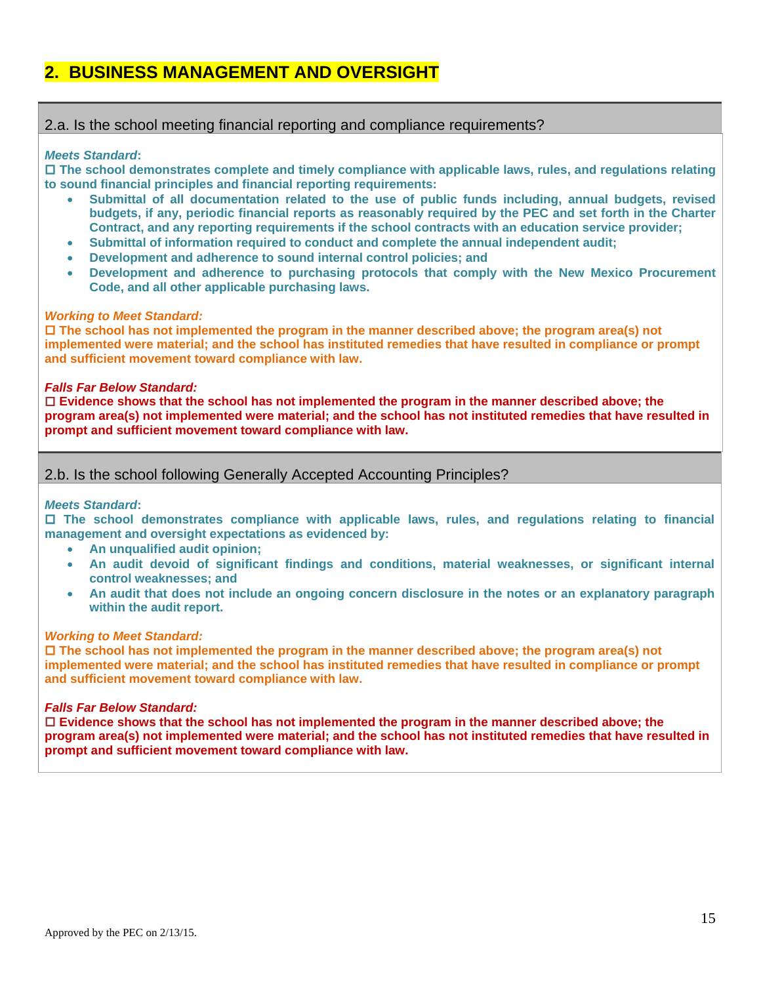## **2. BUSINESS MANAGEMENT AND OVERSIGHT**

## 2.a. Is the school meeting financial reporting and compliance requirements?

#### *Meets Standard***:**

 **The school demonstrates complete and timely compliance with applicable laws, rules, and regulations relating to sound financial principles and financial reporting requirements:** 

- **Submittal of all documentation related to the use of public funds including, annual budgets, revised budgets, if any, periodic financial reports as reasonably required by the PEC and set forth in the Charter Contract, and any reporting requirements if the school contracts with an education service provider;**
- **Submittal of information required to conduct and complete the annual independent audit;**
- **Development and adherence to sound internal control policies; and**
- **Development and adherence to purchasing protocols that comply with the New Mexico Procurement Code, and all other applicable purchasing laws.**

#### *Working to Meet Standard:*

 **The school has not implemented the program in the manner described above; the program area(s) not implemented were material; and the school has instituted remedies that have resulted in compliance or prompt and sufficient movement toward compliance with law.** 

#### *Falls Far Below Standard:*

 **Evidence shows that the school has not implemented the program in the manner described above; the program area(s) not implemented were material; and the school has not instituted remedies that have resulted in prompt and sufficient movement toward compliance with law.** 

## 2.b. Is the school following Generally Accepted Accounting Principles?

#### *Meets Standard***:**

 **The school demonstrates compliance with applicable laws, rules, and regulations relating to financial management and oversight expectations as evidenced by:** 

- **An unqualified audit opinion;**
- **An audit devoid of significant findings and conditions, material weaknesses, or significant internal control weaknesses; and**
- **An audit that does not include an ongoing concern disclosure in the notes or an explanatory paragraph within the audit report.**

#### *Working to Meet Standard:*

 **The school has not implemented the program in the manner described above; the program area(s) not implemented were material; and the school has instituted remedies that have resulted in compliance or prompt and sufficient movement toward compliance with law.** 

#### *Falls Far Below Standard:*

 **Evidence shows that the school has not implemented the program in the manner described above; the program area(s) not implemented were material; and the school has not instituted remedies that have resulted in prompt and sufficient movement toward compliance with law.**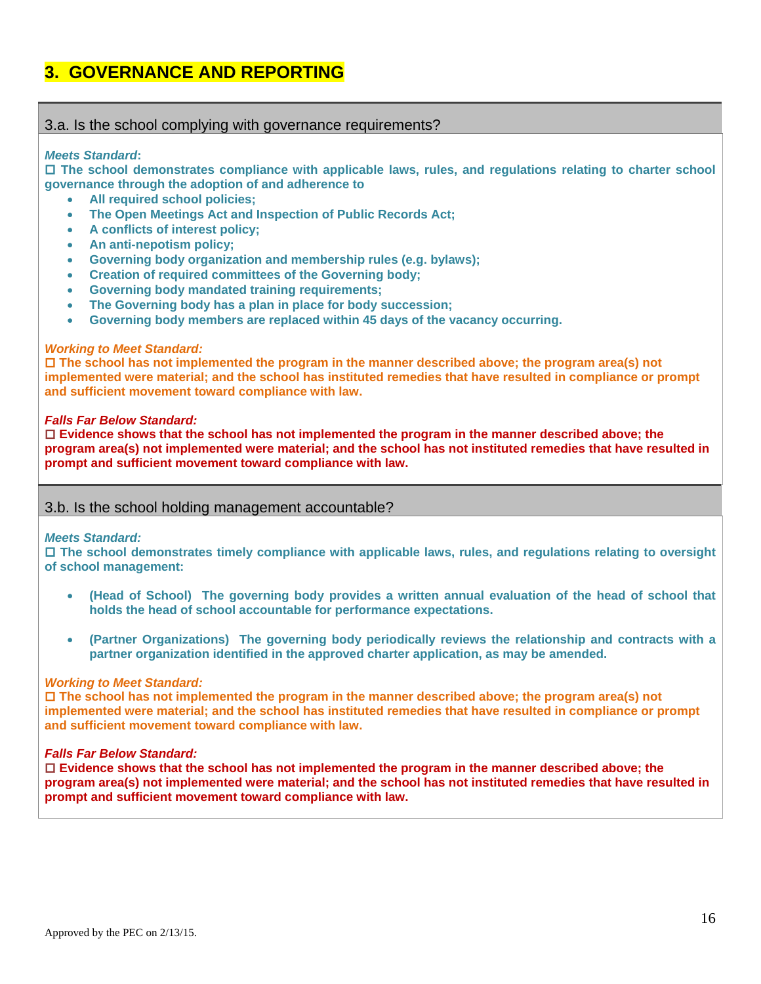## **3. GOVERNANCE AND REPORTING**

### 3.a. Is the school complying with governance requirements?

#### *Meets Standard***:**

 **The school demonstrates compliance with applicable laws, rules, and regulations relating to charter school governance through the adoption of and adherence to** 

- **All required school policies;**
- **The Open Meetings Act and Inspection of Public Records Act;**
- **A conflicts of interest policy;**
- **An anti-nepotism policy;**
- **Governing body organization and membership rules (e.g. bylaws);**
- **Creation of required committees of the Governing body;**
- **Governing body mandated training requirements;**
- **The Governing body has a plan in place for body succession;**
- **Governing body members are replaced within 45 days of the vacancy occurring.**

#### *Working to Meet Standard:*

 **The school has not implemented the program in the manner described above; the program area(s) not implemented were material; and the school has instituted remedies that have resulted in compliance or prompt and sufficient movement toward compliance with law.** 

#### *Falls Far Below Standard:*

 **Evidence shows that the school has not implemented the program in the manner described above; the program area(s) not implemented were material; and the school has not instituted remedies that have resulted in prompt and sufficient movement toward compliance with law.** 

## 3.b. Is the school holding management accountable?

#### *Meets Standard:*

 **The school demonstrates timely compliance with applicable laws, rules, and regulations relating to oversight of school management:** 

- **(Head of School) The governing body provides a written annual evaluation of the head of school that holds the head of school accountable for performance expectations.**
- **(Partner Organizations) The governing body periodically reviews the relationship and contracts with a partner organization identified in the approved charter application, as may be amended.**

#### *Working to Meet Standard:*

 **The school has not implemented the program in the manner described above; the program area(s) not implemented were material; and the school has instituted remedies that have resulted in compliance or prompt and sufficient movement toward compliance with law.** 

#### *Falls Far Below Standard:*

 **Evidence shows that the school has not implemented the program in the manner described above; the program area(s) not implemented were material; and the school has not instituted remedies that have resulted in prompt and sufficient movement toward compliance with law.**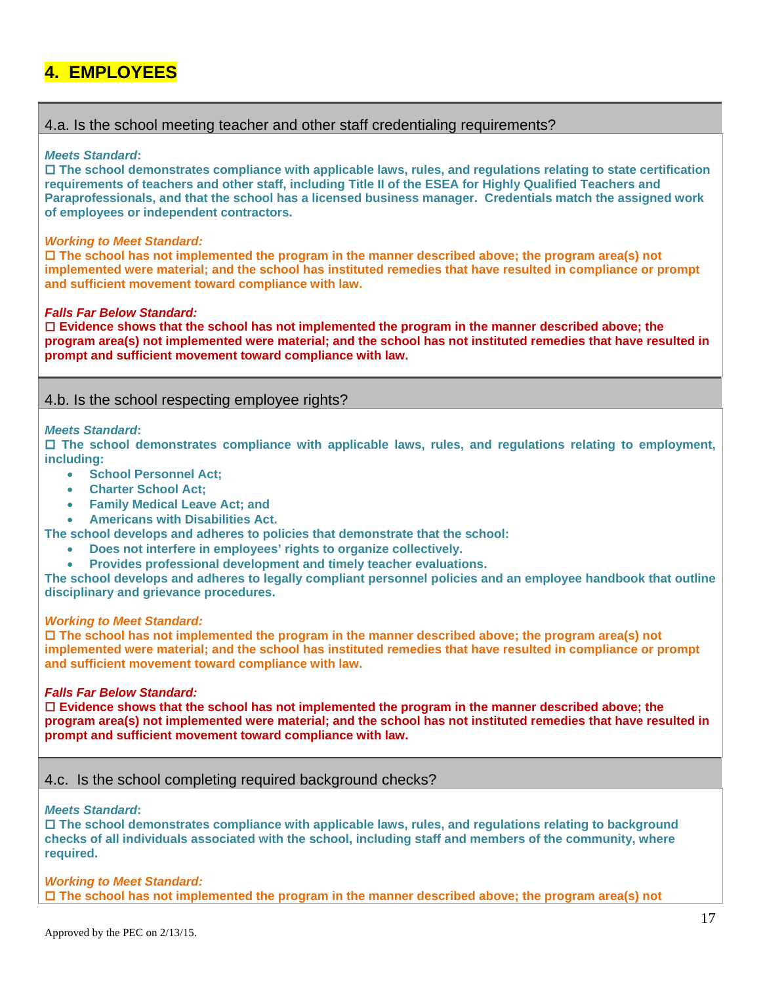## **4. EMPLOYEES**

## 4.a. Is the school meeting teacher and other staff credentialing requirements?

#### *Meets Standard***:**

 **The school demonstrates compliance with applicable laws, rules, and regulations relating to state certification requirements of teachers and other staff, including Title II of the ESEA for Highly Qualified Teachers and Paraprofessionals, and that the school has a licensed business manager. Credentials match the assigned work of employees or independent contractors.** 

#### *Working to Meet Standard:*

 **The school has not implemented the program in the manner described above; the program area(s) not implemented were material; and the school has instituted remedies that have resulted in compliance or prompt and sufficient movement toward compliance with law.** 

#### *Falls Far Below Standard:*

 **Evidence shows that the school has not implemented the program in the manner described above; the program area(s) not implemented were material; and the school has not instituted remedies that have resulted in prompt and sufficient movement toward compliance with law.** 

## 4.b. Is the school respecting employee rights?

#### *Meets Standard***:**

 **The school demonstrates compliance with applicable laws, rules, and regulations relating to employment, including:** 

- **School Personnel Act;**
- **Charter School Act;**
- **Family Medical Leave Act; and**
- **Americans with Disabilities Act.**

**The school develops and adheres to policies that demonstrate that the school:** 

- **Does not interfere in employees' rights to organize collectively.**
- **Provides professional development and timely teacher evaluations.**

**The school develops and adheres to legally compliant personnel policies and an employee handbook that outline disciplinary and grievance procedures.** 

#### *Working to Meet Standard:*

 **The school has not implemented the program in the manner described above; the program area(s) not implemented were material; and the school has instituted remedies that have resulted in compliance or prompt and sufficient movement toward compliance with law.** 

#### *Falls Far Below Standard:*

 **Evidence shows that the school has not implemented the program in the manner described above; the program area(s) not implemented were material; and the school has not instituted remedies that have resulted in prompt and sufficient movement toward compliance with law.** 

## 4.c. Is the school completing required background checks?

#### *Meets Standard***:**

 **The school demonstrates compliance with applicable laws, rules, and regulations relating to background checks of all individuals associated with the school, including staff and members of the community, where required.** 

*Working to Meet Standard:* **The school has not implemented the program in the manner described above; the program area(s) not**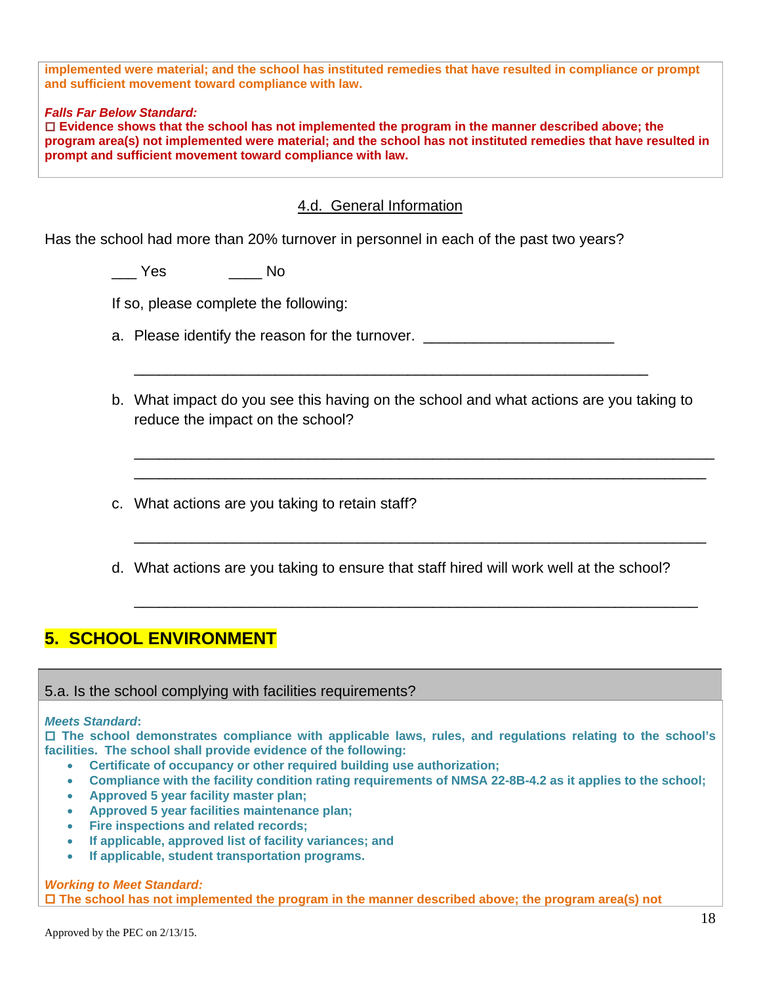**implemented were material; and the school has instituted remedies that have resulted in compliance or prompt and sufficient movement toward compliance with law.** 

### *Falls Far Below Standard:*

 **Evidence shows that the school has not implemented the program in the manner described above; the program area(s) not implemented were material; and the school has not instituted remedies that have resulted in prompt and sufficient movement toward compliance with law.** 

## 4.d. General Information

Has the school had more than 20% turnover in personnel in each of the past two years?

\_\_\_ Yes \_\_\_\_ No

If so, please complete the following:

a. Please identify the reason for the turnover.

b. What impact do you see this having on the school and what actions are you taking to reduce the impact on the school?

\_\_\_\_\_\_\_\_\_\_\_\_\_\_\_\_\_\_\_\_\_\_\_\_\_\_\_\_\_\_\_\_\_\_\_\_\_\_\_\_\_\_\_\_\_\_\_\_\_\_\_\_\_\_\_\_\_\_\_\_\_\_\_\_\_\_\_\_\_\_ \_\_\_\_\_\_\_\_\_\_\_\_\_\_\_\_\_\_\_\_\_\_\_\_\_\_\_\_\_\_\_\_\_\_\_\_\_\_\_\_\_\_\_\_\_\_\_\_\_\_\_\_\_\_\_\_\_\_\_\_\_\_\_\_\_\_\_\_\_

\_\_\_\_\_\_\_\_\_\_\_\_\_\_\_\_\_\_\_\_\_\_\_\_\_\_\_\_\_\_\_\_\_\_\_\_\_\_\_\_\_\_\_\_\_\_\_\_\_\_\_\_\_\_\_\_\_\_\_\_\_\_\_\_\_\_\_\_\_

\_\_\_\_\_\_\_\_\_\_\_\_\_\_\_\_\_\_\_\_\_\_\_\_\_\_\_\_\_\_\_\_\_\_\_\_\_\_\_\_\_\_\_\_\_\_\_\_\_\_\_\_\_\_\_\_\_\_\_\_\_\_\_\_\_\_\_\_

\_\_\_\_\_\_\_\_\_\_\_\_\_\_\_\_\_\_\_\_\_\_\_\_\_\_\_\_\_\_\_\_\_\_\_\_\_\_\_\_\_\_\_\_\_\_\_\_\_\_\_\_\_\_\_\_\_\_\_\_\_\_

- c. What actions are you taking to retain staff?
- d. What actions are you taking to ensure that staff hired will work well at the school?

## **5. SCHOOL ENVIRONMENT**

## 5.a. Is the school complying with facilities requirements?

#### *Meets Standard***:**

 **The school demonstrates compliance with applicable laws, rules, and regulations relating to the school's facilities. The school shall provide evidence of the following:** 

- **Certificate of occupancy or other required building use authorization;**
- **Compliance with the facility condition rating requirements of NMSA 22-8B-4.2 as it applies to the school;**
- **Approved 5 year facility master plan;**
- **Approved 5 year facilities maintenance plan;**
- **Fire inspections and related records;**
- **If applicable, approved list of facility variances; and**
- **If applicable, student transportation programs.**

### *Working to Meet Standard:*

 **The school has not implemented the program in the manner described above; the program area(s) not**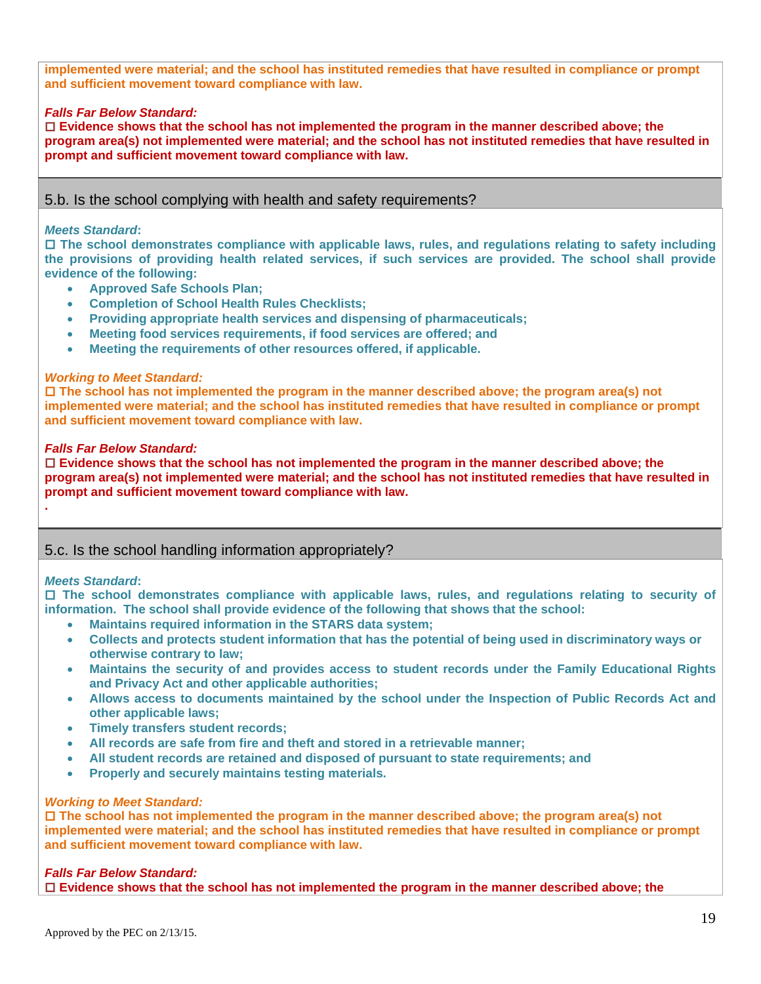**implemented were material; and the school has instituted remedies that have resulted in compliance or prompt and sufficient movement toward compliance with law.** 

#### *Falls Far Below Standard:*

 **Evidence shows that the school has not implemented the program in the manner described above; the program area(s) not implemented were material; and the school has not instituted remedies that have resulted in prompt and sufficient movement toward compliance with law.** 

## 5.b. Is the school complying with health and safety requirements?

#### *Meets Standard***:**

 **The school demonstrates compliance with applicable laws, rules, and regulations relating to safety including the provisions of providing health related services, if such services are provided. The school shall provide evidence of the following:** 

- **Approved Safe Schools Plan;**
- **Completion of School Health Rules Checklists;**
- **Providing appropriate health services and dispensing of pharmaceuticals;**
- **Meeting food services requirements, if food services are offered; and**
- **Meeting the requirements of other resources offered, if applicable.**

#### *Working to Meet Standard:*

 **The school has not implemented the program in the manner described above; the program area(s) not implemented were material; and the school has instituted remedies that have resulted in compliance or prompt and sufficient movement toward compliance with law.** 

#### *Falls Far Below Standard:*

 **Evidence shows that the school has not implemented the program in the manner described above; the program area(s) not implemented were material; and the school has not instituted remedies that have resulted in prompt and sufficient movement toward compliance with law.** 

## 5.c. Is the school handling information appropriately?

#### *Meets Standard***:**

**.** 

 **The school demonstrates compliance with applicable laws, rules, and regulations relating to security of information. The school shall provide evidence of the following that shows that the school:** 

- **Maintains required information in the STARS data system;**
- **Collects and protects student information that has the potential of being used in discriminatory ways or otherwise contrary to law;**
- **Maintains the security of and provides access to student records under the Family Educational Rights and Privacy Act and other applicable authorities;**
- **Allows access to documents maintained by the school under the Inspection of Public Records Act and other applicable laws;**
- **Timely transfers student records;**
- **All records are safe from fire and theft and stored in a retrievable manner;**
- **All student records are retained and disposed of pursuant to state requirements; and**
- **Properly and securely maintains testing materials.**

#### *Working to Meet Standard:*

 **The school has not implemented the program in the manner described above; the program area(s) not implemented were material; and the school has instituted remedies that have resulted in compliance or prompt and sufficient movement toward compliance with law.** 

#### *Falls Far Below Standard:*

**Evidence shows that the school has not implemented the program in the manner described above; the**